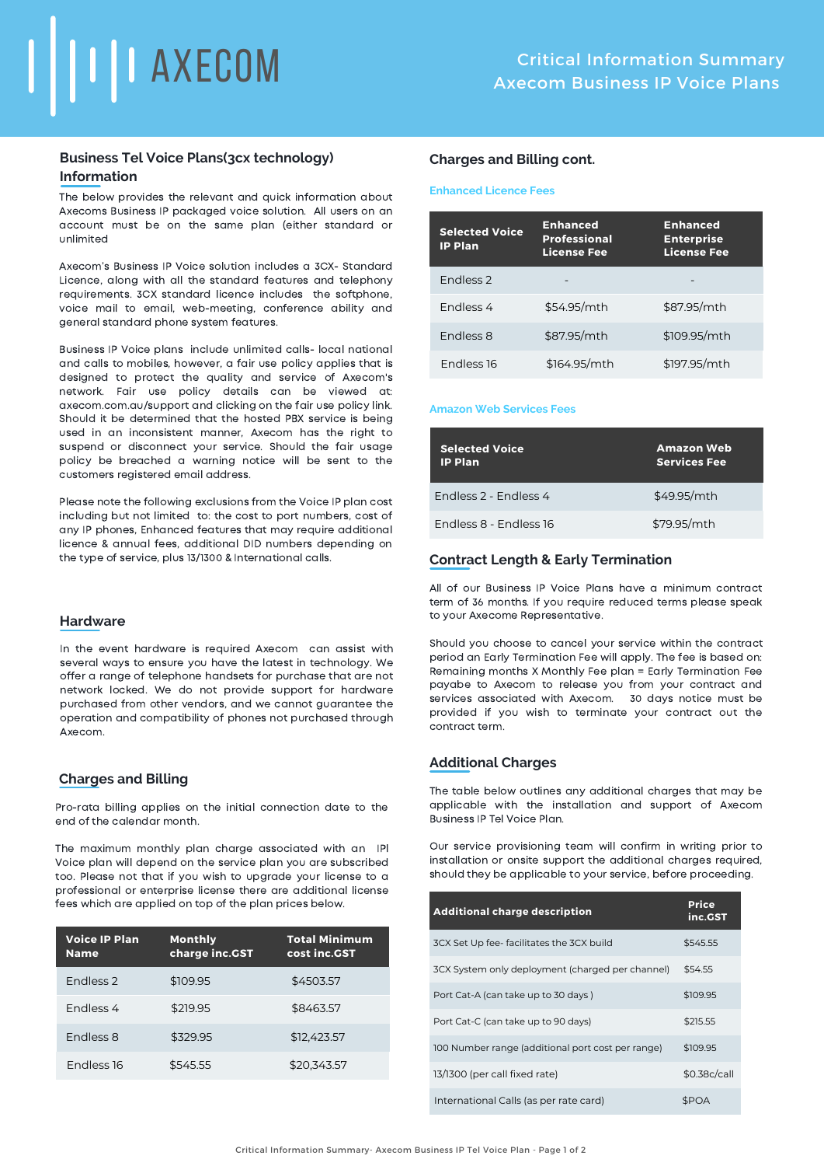

# **Business Tel Voice Plans(3cx technology) Information**

The below provides the relevant and quick information about Axecoms Business IP packaged voice solution. All users on an account must be on the same plan (either standard or unlimited

Axecom's Business IP Voice solution includes a 3CX- Standard Licence, along with all the standard features and telephony requirements. 3CX standard licence includes the softphone, voice mail to email, web-meeting, conference ability and general standard phone system features.

Business IP Voice plans include unlimited calls- local national and calls to mobiles, however, a fair use policy applies that is designed to protect the quality and service of Axecom's network. Fair use policy details can be viewed at: axecom.com.au/support and clicking on the fair use policy link. Should it be determined that the hosted PBX service is being used in an inconsistent manner, Axecom has the right to suspend or disconnect your service. Should the fair usage policy be breached a warning notice will be sent to the customers registered email address.

Please note the following exclusions from the Voice IP plan cost including but not limited to: the cost to port numbers, cost of any IP phones, Enhanced features that may require additional licence & annual fees, additional DID numbers depending on the type of service, plus 13/1300 & International calls.

#### **Hardware**

In the event hardware is required Axecom can assist with several ways to ensure you have the latest in technology. We offer a range of telephone handsets for purchase that are not network locked. We do not provide support for hardware purchased from other vendors, and we cannot guarantee the operation and compatibility of phones not purchased through Axecom.

#### **Charges and Billing**

Pro-rata billing applies on the initial connection date to the end of the calendar month.

The maximum monthly plan charge associated with an IPl Voice plan will depend on the service plan you are subscribed too. Please not that if you wish to upgrade your license to a professional or enterprise license there are additional license fees which are applied on top of the plan prices below.

| <b>Voice IP Plan</b><br><b>Name</b> | <b>Monthly</b><br>charge inc.GST | <b>Total Minimum</b><br>cost inc.GST |
|-------------------------------------|----------------------------------|--------------------------------------|
| Fndless <sub>2</sub>                | \$109.95                         | \$4503.57                            |
| Fndless 4                           | \$219.95                         | \$8463.57                            |
| <b>Endless 8</b>                    | \$329.95                         | \$12,423.57                          |
| <b>Endless 16</b>                   | \$545.55                         | \$20.343.57                          |

### **Charges and Billing cont.**

#### **Enhanced Licence Fees**

| <b>Selected Voice</b><br><b>IP Plan</b> | <b>Enhanced</b><br><b>Professional</b><br><b>License Fee</b> | <b>Enhanced</b><br><b>Enterprise</b><br><b>License Fee</b> |
|-----------------------------------------|--------------------------------------------------------------|------------------------------------------------------------|
| Fndless <sub>2</sub>                    |                                                              |                                                            |
| <b>Endless 4</b>                        | \$54.95/mth                                                  | \$87.95/mth                                                |
| <b>Endless 8</b>                        | \$87.95/mth                                                  | \$109.95/mth                                               |
| <b>Endless 16</b>                       | \$164.95/mth                                                 | \$197.95/mth                                               |

#### **Amazon Web Services Fees**

| <b>Selected Voice</b><br><b>IP Plan</b> | <b>Amazon Web</b><br><b>Services Fee</b> |
|-----------------------------------------|------------------------------------------|
| Fndless 2 - Fndless 4                   | \$49.95/mth                              |
| Endless 8 - Endless 16                  | \$79.95/mth                              |

## **Contract Length & Early Termination**

All of our Business IP Voice Plans have a minimum contract term of 36 months. If you require reduced terms please speak to your Axecome Representative.

Should you choose to cancel your service within the contract period an Early Termination Fee will apply. The fee is based on: Remaining months X Monthly Fee plan = Early Termination Fee payabe to Axecom to release you from your contract and services associated with Axecom. 30 days notice must be provided if you wish to terminate your contract out the contract term.

## **Additional Charges**

The table below outlines any additional charges that may be applicable with the installation and support of Axecom Business IP Tel Voice Plan.

Our service provisioning team will confirm in writing prior to installation or onsite support the additional charges required, should they be applicable to your service, before proceeding.

| <b>Additional charge description</b>              | <b>Price</b><br>inc.GST |
|---------------------------------------------------|-------------------------|
| 3CX Set Up fee-facilitates the 3CX build          | \$545.55                |
| 3CX System only deployment (charged per channel)  | \$54.55                 |
| Port Cat-A (can take up to 30 days)               | \$109.95                |
| Port Cat-C (can take up to 90 days)               | \$215.55                |
| 100 Number range (additional port cost per range) | \$109.95                |
| 13/1300 (per call fixed rate)                     | \$0.38c/call            |
| International Calls (as per rate card)            | <b>SPOA</b>             |